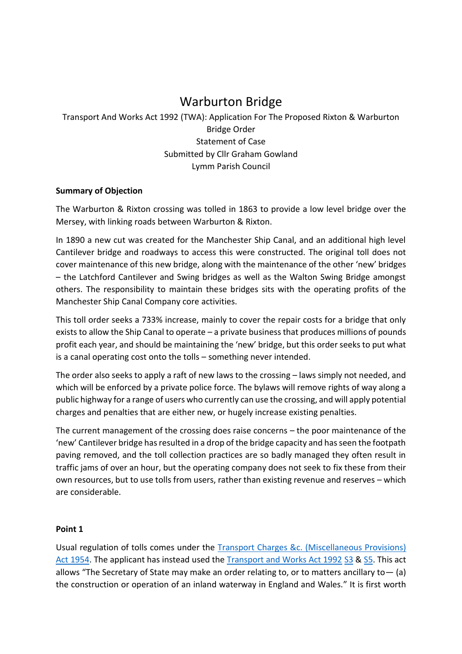# Warburton Bridge

# Transport And Works Act 1992 (TWA): Application For The Proposed Rixton & Warburton Bridge Order Statement of Case Submitted by Cllr Graham Gowland Lymm Parish Council

#### **Summary of Objection**

The Warburton & Rixton crossing was tolled in 1863 to provide a low level bridge over the Mersey, with linking roads between Warburton & Rixton.

In 1890 a new cut was created for the Manchester Ship Canal, and an additional high level Cantilever bridge and roadways to access this were constructed. The original toll does not cover maintenance of this new bridge, along with the maintenance of the other 'new' bridges – the Latchford Cantilever and Swing bridges as well as the Walton Swing Bridge amongst others. The responsibility to maintain these bridges sits with the operating profits of the Manchester Ship Canal Company core activities.

This toll order seeks a 733% increase, mainly to cover the repair costs for a bridge that only exists to allow the Ship Canal to operate – a private business that produces millions of pounds profit each year, and should be maintaining the 'new' bridge, but this order seeks to put what is a canal operating cost onto the tolls – something never intended.

The order also seeks to apply a raft of new laws to the crossing – laws simply not needed, and which will be enforced by a private police force. The bylaws will remove rights of way along a public highway for a range of users who currently can use the crossing, and will apply potential charges and penalties that are either new, or hugely increase existing penalties.

The current management of the crossing does raise concerns – the poor maintenance of the 'new' Cantilever bridge has resulted in a drop of the bridge capacity and has seen the footpath paving removed, and the toll collection practices are so badly managed they often result in traffic jams of over an hour, but the operating company does not seek to fix these from their own resources, but to use tolls from users, rather than existing revenue and reserves – which are considerable.

#### **Point 1**

Usual regulation of tolls comes under the [Transport Charges &c. \(Miscellaneous Provisions\)](https://www.legislation.gov.uk/ukpga/Eliz2/2-3/64/contents)  [Act 1954.](https://www.legislation.gov.uk/ukpga/Eliz2/2-3/64/contents) The applicant has instead used the [Transport and Works Act 1992](https://www.legislation.gov.uk/ukpga/1992/42/contents) [S3](https://www.legislation.gov.uk/ukpga/1992/42/section/3) & [S5.](https://www.legislation.gov.uk/ukpga/1992/42/section/5) This act allows "The Secretary of State may make an order relating to, or to matters ancillary to  $-$  (a) the construction or operation of an inland waterway in England and Wales." It is first worth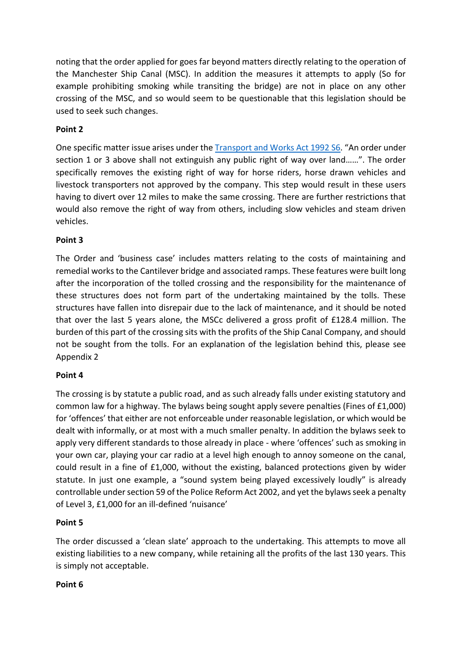noting that the order applied for goes far beyond matters directly relating to the operation of the Manchester Ship Canal (MSC). In addition the measures it attempts to apply (So for example prohibiting smoking while transiting the bridge) are not in place on any other crossing of the MSC, and so would seem to be questionable that this legislation should be used to seek such changes.

# **Point 2**

One specific matter issue arises under the [Transport and Works Act 1992 S6](https://www.legislation.gov.uk/ukpga/1992/42/section/6). "An order under section 1 or 3 above shall not extinguish any public right of way over land……". The order specifically removes the existing right of way for horse riders, horse drawn vehicles and livestock transporters not approved by the company. This step would result in these users having to divert over 12 miles to make the same crossing. There are further restrictions that would also remove the right of way from others, including slow vehicles and steam driven vehicles.

# **Point 3**

The Order and 'business case' includes matters relating to the costs of maintaining and remedial works to the Cantilever bridge and associated ramps. These features were built long after the incorporation of the tolled crossing and the responsibility for the maintenance of these structures does not form part of the undertaking maintained by the tolls. These structures have fallen into disrepair due to the lack of maintenance, and it should be noted that over the last 5 years alone, the MSCc delivered a gross profit of £128.4 million. The burden of this part of the crossing sits with the profits of the Ship Canal Company, and should not be sought from the tolls. For an explanation of the legislation behind this, please see Appendix 2

# **Point 4**

The crossing is by statute a public road, and as such already falls under existing statutory and common law for a highway. The bylaws being sought apply severe penalties (Fines of £1,000) for 'offences' that either are not enforceable under reasonable legislation, or which would be dealt with informally, or at most with a much smaller penalty. In addition the bylaws seek to apply very different standards to those already in place - where 'offences' such as smoking in your own car, playing your car radio at a level high enough to annoy someone on the canal, could result in a fine of £1,000, without the existing, balanced protections given by wider statute. In just one example, a "sound system being played excessively loudly" is already controllable under section 59 of the Police Reform Act 2002, and yet the bylaws seek a penalty of Level 3, £1,000 for an ill-defined 'nuisance'

# **Point 5**

The order discussed a 'clean slate' approach to the undertaking. This attempts to move all existing liabilities to a new company, while retaining all the profits of the last 130 years. This is simply not acceptable.

#### **Point 6**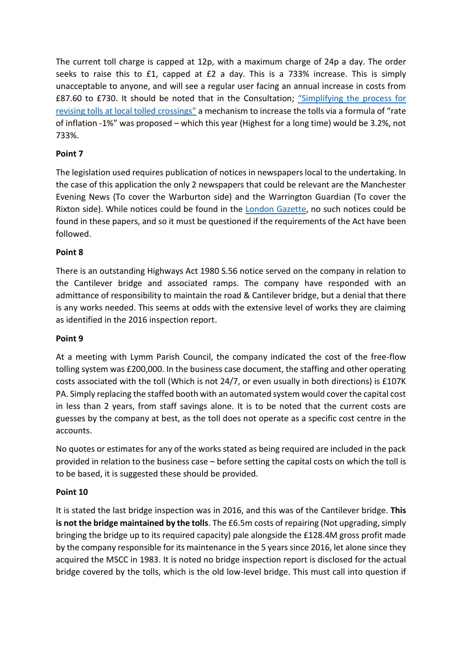The current toll charge is capped at 12p, with a maximum charge of 24p a day. The order seeks to raise this to £1, capped at £2 a day. This is a 733% increase. This is simply unacceptable to anyone, and will see a regular user facing an annual increase in costs from £87.60 to £730. It should be noted that in the Consultation; "S[implifying the process for](https://www.gov.uk/government/consultations/simplifying-the-process-for-revising-tolls-at-local-tolled-crossings)  [revising tolls at local tolled crossings](https://www.gov.uk/government/consultations/simplifying-the-process-for-revising-tolls-at-local-tolled-crossings)" a mechanism to increase the tolls via a formula of "rate of inflation -1%" was proposed – which this year (Highest for a long time) would be 3.2%, not 733%.

# **Point 7**

The legislation used requires publication of notices in newspapers local to the undertaking. In the case of this application the only 2 newspapers that could be relevant are the Manchester Evening News (To cover the Warburton side) and the Warrington Guardian (To cover the Rixton side). While notices could be found in the [London Gazette,](https://www.thegazette.co.uk/notice/3931802) no such notices could be found in these papers, and so it must be questioned if the requirements of the Act have been followed.

# **Point 8**

There is an outstanding Highways Act 1980 S.56 notice served on the company in relation to the Cantilever bridge and associated ramps. The company have responded with an admittance of responsibility to maintain the road & Cantilever bridge, but a denial that there is any works needed. This seems at odds with the extensive level of works they are claiming as identified in the 2016 inspection report.

#### **Point 9**

At a meeting with Lymm Parish Council, the company indicated the cost of the free-flow tolling system was £200,000. In the business case document, the staffing and other operating costs associated with the toll (Which is not 24/7, or even usually in both directions) is £107K PA. Simply replacing the staffed booth with an automated system would cover the capital cost in less than 2 years, from staff savings alone. It is to be noted that the current costs are guesses by the company at best, as the toll does not operate as a specific cost centre in the accounts.

No quotes or estimates for any of the works stated as being required are included in the pack provided in relation to the business case – before setting the capital costs on which the toll is to be based, it is suggested these should be provided.

# **Point 10**

It is stated the last bridge inspection was in 2016, and this was of the Cantilever bridge. **This is not the bridge maintained by the tolls**. The £6.5m costs of repairing (Not upgrading, simply bringing the bridge up to its required capacity) pale alongside the £128.4M gross profit made by the company responsible for its maintenance in the 5 years since 2016, let alone since they acquired the MSCC in 1983. It is noted no bridge inspection report is disclosed for the actual bridge covered by the tolls, which is the old low-level bridge. This must call into question if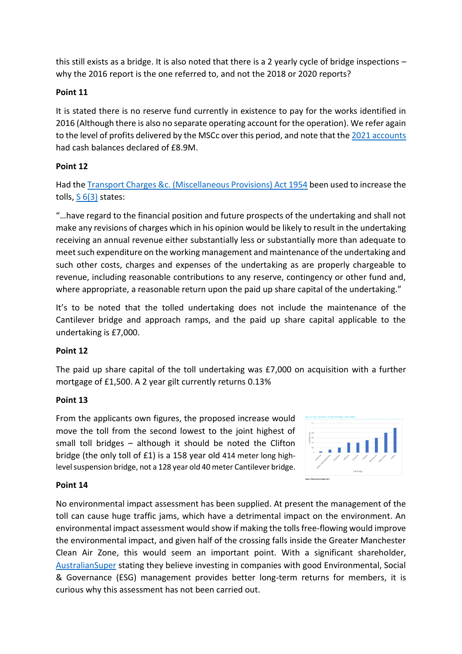this still exists as a bridge. It is also noted that there is a 2 yearly cycle of bridge inspections – why the 2016 report is the one referred to, and not the 2018 or 2020 reports?

#### **Point 11**

It is stated there is no reserve fund currently in existence to pay for the works identified in 2016 (Although there is also no separate operating account for the operation). We refer again to the level of profits delivered by the MSCc over this period, and note that the [2021 accounts](https://find-and-update.company-information.service.gov.uk/company/07438096/filing-history/MzMyNTU0OTIxOWFkaXF6a2N4/document?format=pdf&download=0) had cash balances declared of £8.9M.

#### **Point 12**

Had th[e Transport Charges &c. \(Miscellaneous Provisions\) Act 1954](https://www.legislation.gov.uk/ukpga/Eliz2/2-3/64/contents) been used to increase the tolls,  $S(3)$  states:

"…have regard to the financial position and future prospects of the undertaking and shall not make any revisions of charges which in his opinion would be likely to result in the undertaking receiving an annual revenue either substantially less or substantially more than adequate to meet such expenditure on the working management and maintenance of the undertaking and such other costs, charges and expenses of the undertaking as are properly chargeable to revenue, including reasonable contributions to any reserve, contingency or other fund and, where appropriate, a reasonable return upon the paid up share capital of the undertaking."

It's to be noted that the tolled undertaking does not include the maintenance of the Cantilever bridge and approach ramps, and the paid up share capital applicable to the undertaking is £7,000.

#### **Point 12**

The paid up share capital of the toll undertaking was £7,000 on acquisition with a further mortgage of £1,500. A 2 year gilt currently returns 0.13%

#### **Point 13**

From the applicants own figures, the proposed increase would move the toll from the second lowest to the joint highest of small toll bridges – although it should be noted the Clifton bridge (the only toll of £1) is a 158 year old 414 meter long highlevel suspension bridge, not a 128 year old 40 meter Cantilever bridge.



#### **Point 14**

No environmental impact assessment has been supplied. At present the management of the toll can cause huge traffic jams, which have a detrimental impact on the environment. An environmental impact assessment would show if making the tolls free-flowing would improve the environmental impact, and given half of the crossing falls inside the Greater Manchester Clean Air Zone, this would seem an important point. With a significant shareholder, [AustralianSuper](https://www.australiansuper.com/) stating they believe investing in companies with good Environmental, Social & Governance (ESG) management provides better long-term returns for members, it is curious why this assessment has not been carried out.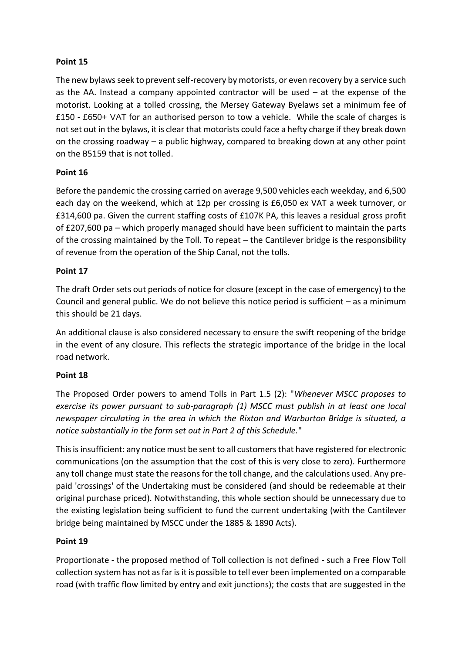# **Point 15**

The new bylaws seek to prevent self-recovery by motorists, or even recovery by a service such as the AA. Instead a company appointed contractor will be used – at the expense of the motorist. Looking at a tolled crossing, the Mersey Gateway Byelaws set a minimum fee of £150 - £650+ VAT for an authorised person to tow a vehicle. While the scale of charges is not set out in the bylaws, it is clear that motorists could face a hefty charge if they break down on the crossing roadway – a public highway, compared to breaking down at any other point on the B5159 that is not tolled.

# **Point 16**

Before the pandemic the crossing carried on average 9,500 vehicles each weekday, and 6,500 each day on the weekend, which at 12p per crossing is £6,050 ex VAT a week turnover, or £314,600 pa. Given the current staffing costs of £107K PA, this leaves a residual gross profit of £207,600 pa – which properly managed should have been sufficient to maintain the parts of the crossing maintained by the Toll. To repeat – the Cantilever bridge is the responsibility of revenue from the operation of the Ship Canal, not the tolls.

#### **Point 17**

The draft Order sets out periods of notice for closure (except in the case of emergency) to the Council and general public. We do not believe this notice period is sufficient – as a minimum this should be 21 days.

An additional clause is also considered necessary to ensure the swift reopening of the bridge in the event of any closure. This reflects the strategic importance of the bridge in the local road network.

#### **Point 18**

The Proposed Order powers to amend Tolls in Part 1.5 (2): "*Whenever MSCC proposes to exercise its power pursuant to sub-paragraph (1) MSCC must publish in at least one local newspaper circulating in the area in which the Rixton and Warburton Bridge is situated, a notice substantially in the form set out in Part 2 of this Schedule.*"

This isinsufficient: any notice must be sent to all customers that have registered for electronic communications (on the assumption that the cost of this is very close to zero). Furthermore any toll change must state the reasons for the toll change, and the calculations used. Any prepaid 'crossings' of the Undertaking must be considered (and should be redeemable at their original purchase priced). Notwithstanding, this whole section should be unnecessary due to the existing legislation being sufficient to fund the current undertaking (with the Cantilever bridge being maintained by MSCC under the 1885 & 1890 Acts).

#### **Point 19**

Proportionate - the proposed method of Toll collection is not defined - such a Free Flow Toll collection system has not as far is it is possible to tell ever been implemented on a comparable road (with traffic flow limited by entry and exit junctions); the costs that are suggested in the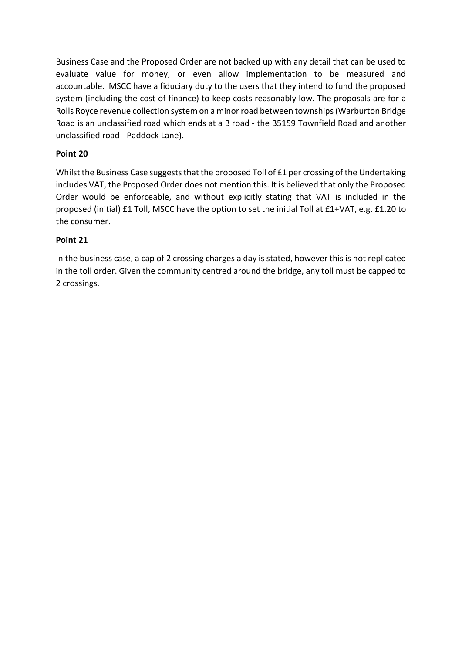Business Case and the Proposed Order are not backed up with any detail that can be used to evaluate value for money, or even allow implementation to be measured and accountable. MSCC have a fiduciary duty to the users that they intend to fund the proposed system (including the cost of finance) to keep costs reasonably low. The proposals are for a Rolls Royce revenue collection system on a minor road between townships (Warburton Bridge Road is an unclassified road which ends at a B road - the B5159 Townfield Road and another unclassified road - Paddock Lane).

# **Point 20**

Whilst the Business Case suggests that the proposed Toll of £1 per crossing of the Undertaking includes VAT, the Proposed Order does not mention this. It is believed that only the Proposed Order would be enforceable, and without explicitly stating that VAT is included in the proposed (initial) £1 Toll, MSCC have the option to set the initial Toll at £1+VAT, e.g. £1.20 to the consumer.

# **Point 21**

In the business case, a cap of 2 crossing charges a day is stated, however this is not replicated in the toll order. Given the community centred around the bridge, any toll must be capped to 2 crossings.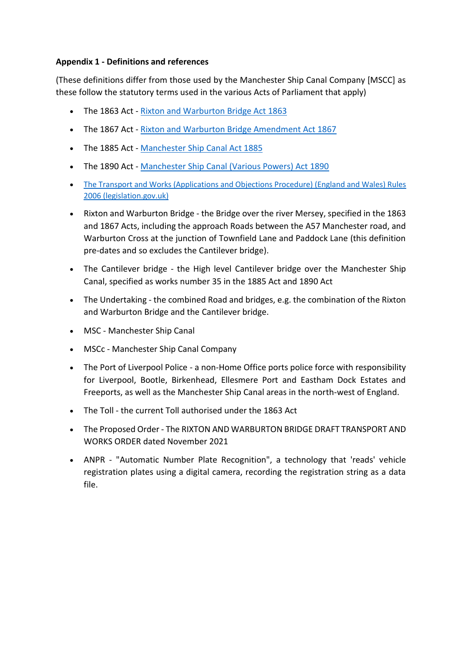#### **Appendix 1 - Definitions and references**

(These definitions differ from those used by the Manchester Ship Canal Company [MSCC] as these follow the statutory terms used in the various Acts of Parliament that apply)

- The 1863 Act [Rixton and Warburton Bridge Act 1863](https://www.whatdotheyknow.com/request/rixton_warburton_toll_bridge_act#incoming-935840)
- The 1867 Act Rixton and [Warburton Bridge Amendment Act 1867](https://www.whatdotheyknow.com/request/387618/response/935840/attach/3/160706%20Rixton%20and%20Warburton%20Bridge%20Amendment%20Act%201867.pdf)
- The 1885 Act [Manchester Ship Canal Act 1885](https://find-and-update.company-information.service.gov.uk/company/ZC000197/filing-history/MzM4NDU5NTBhZGlxemtjeA/document?format=pdf&download=0)
- The 1890 Act [Manchester Ship Canal \(Various Powers\) Act 1890](https://find-and-update.company-information.service.gov.uk/company/ZC000197/filing-history/NjQ1ODE4NjFhZGlxemtjeA/document?format=pdf&download=0)
- [The Transport and Works \(Applications and Objections Procedure\) \(England and Wales\) Rules](https://www.legislation.gov.uk/uksi/2006/1466/contents/made)  [2006 \(legislation.gov.uk\)](https://www.legislation.gov.uk/uksi/2006/1466/contents/made)
- Rixton and Warburton Bridge the Bridge over the river Mersey, specified in the 1863 and 1867 Acts, including the approach Roads between the A57 Manchester road, and Warburton Cross at the junction of Townfield Lane and Paddock Lane (this definition pre-dates and so excludes the Cantilever bridge).
- The Cantilever bridge the High level Cantilever bridge over the Manchester Ship Canal, specified as works number 35 in the 1885 Act and 1890 Act
- The Undertaking the combined Road and bridges, e.g. the combination of the Rixton and Warburton Bridge and the Cantilever bridge.
- MSC Manchester Ship Canal
- MSCc Manchester Ship Canal Company
- The Port of Liverpool Police a non-Home Office ports police force with responsibility for Liverpool, Bootle, Birkenhead, Ellesmere Port and Eastham Dock Estates and Freeports, as well as the Manchester Ship Canal areas in the north-west of England.
- The Toll the current Toll authorised under the 1863 Act
- The Proposed Order The RIXTON AND WARBURTON BRIDGE DRAFT TRANSPORT AND WORKS ORDER dated November 2021
- ANPR "Automatic Number Plate Recognition", a technology that 'reads' vehicle registration plates using a digital camera, recording the registration string as a data file.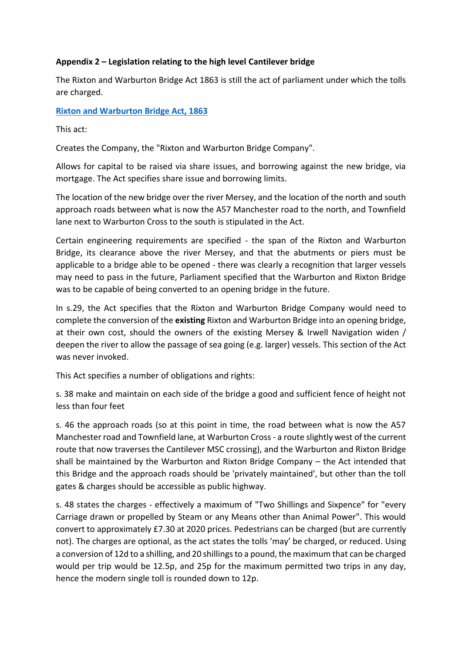#### **Appendix 2 – Legislation relating to the high level Cantilever bridge**

The Rixton and Warburton Bridge Act 1863 is still the act of parliament under which the tolls are charged.

**[Rixton and Warburton Bridge Act, 1863](https://www.whatdotheyknow.com/request/387618/response/935840/attach/html/2/160706%20Rixton%20and%20Warburton%20Bridge%20Act%201863.pdf.html)**

This act:

Creates the Company, the "Rixton and Warburton Bridge Company".

Allows for capital to be raised via share issues, and borrowing against the new bridge, via mortgage. The Act specifies share issue and borrowing limits.

The location of the new bridge over the river Mersey, and the location of the north and south approach roads between what is now the A57 Manchester road to the north, and Townfield lane next to Warburton Cross to the south is stipulated in the Act.

Certain engineering requirements are specified - the span of the Rixton and Warburton Bridge, its clearance above the river Mersey, and that the abutments or piers must be applicable to a bridge able to be opened - there was clearly a recognition that larger vessels may need to pass in the future, Parliament specified that the Warburton and Rixton Bridge was to be capable of being converted to an opening bridge in the future.

In s.29, the Act specifies that the Rixton and Warburton Bridge Company would need to complete the conversion of the **existing** Rixton and Warburton Bridge into an opening bridge, at their own cost, should the owners of the existing Mersey & Irwell Navigation widen / deepen the river to allow the passage of sea going (e.g. larger) vessels. This section of the Act was never invoked.

This Act specifies a number of obligations and rights:

s. 38 make and maintain on each side of the bridge a good and sufficient fence of height not less than four feet

s. 46 the approach roads (so at this point in time, the road between what is now the A57 Manchester road and Townfield lane, at Warburton Cross - a route slightly west of the current route that now traverses the Cantilever MSC crossing), and the Warburton and Rixton Bridge shall be maintained by the Warburton and Rixton Bridge Company – the Act intended that this Bridge and the approach roads should be 'privately maintained', but other than the toll gates & charges should be accessible as public highway.

s. 48 states the charges - effectively a maximum of "Two Shillings and Sixpence" for "every Carriage drawn or propelled by Steam or any Means other than Animal Power". This would convert to approximately £7.30 at 2020 prices. Pedestrians can be charged (but are currently not). The charges are optional, as the act states the tolls 'may' be charged, or reduced. Using a conversion of 12d to a shilling, and 20 shillings to a pound, the maximum that can be charged would per trip would be 12.5p, and 25p for the maximum permitted two trips in any day, hence the modern single toll is rounded down to 12p.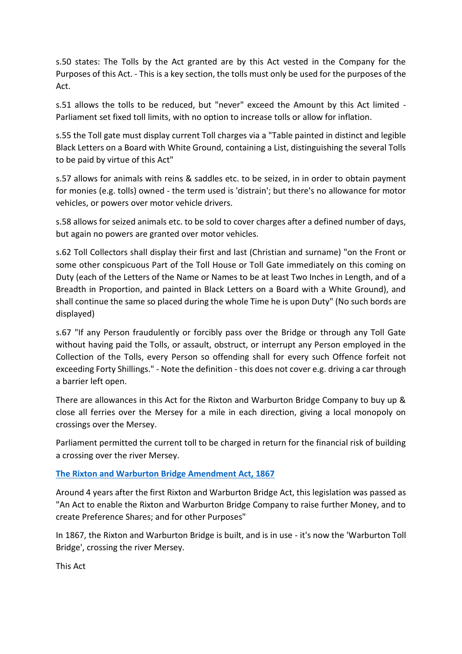s.50 states: The Tolls by the Act granted are by this Act vested in the Company for the Purposes of this Act. - This is a key section, the tolls must only be used for the purposes of the Act.

s.51 allows the tolls to be reduced, but "never" exceed the Amount by this Act limited - Parliament set fixed toll limits, with no option to increase tolls or allow for inflation.

s.55 the Toll gate must display current Toll charges via a "Table painted in distinct and legible Black Letters on a Board with White Ground, containing a List, distinguishing the several Tolls to be paid by virtue of this Act"

s.57 allows for animals with reins & saddles etc. to be seized, in in order to obtain payment for monies (e.g. tolls) owned - the term used is 'distrain'; but there's no allowance for motor vehicles, or powers over motor vehicle drivers.

s.58 allows for seized animals etc. to be sold to cover charges after a defined number of days, but again no powers are granted over motor vehicles.

s.62 Toll Collectors shall display their first and last (Christian and surname) "on the Front or some other conspicuous Part of the Toll House or Toll Gate immediately on this coming on Duty (each of the Letters of the Name or Names to be at least Two Inches in Length, and of a Breadth in Proportion, and painted in Black Letters on a Board with a White Ground), and shall continue the same so placed during the whole Time he is upon Duty" (No such bords are displayed)

s.67 "If any Person fraudulently or forcibly pass over the Bridge or through any Toll Gate without having paid the Tolls, or assault, obstruct, or interrupt any Person employed in the Collection of the Tolls, every Person so offending shall for every such Offence forfeit not exceeding Forty Shillings." - Note the definition - this does not cover e.g. driving a car through a barrier left open.

There are allowances in this Act for the Rixton and Warburton Bridge Company to buy up & close all ferries over the Mersey for a mile in each direction, giving a local monopoly on crossings over the Mersey.

Parliament permitted the current toll to be charged in return for the financial risk of building a crossing over the river Mersey.

#### **[The Rixton and Warburton Bridge Amendment Act, 1867](https://www.whatdotheyknow.com/request/387618/response/935840/attach/html/3/160706%20Rixton%20and%20Warburton%20Bridge%20Amendment%20Act%201867.pdf.html)**

Around 4 years after the first Rixton and Warburton Bridge Act, this legislation was passed as "An Act to enable the Rixton and Warburton Bridge Company to raise further Money, and to create Preference Shares; and for other Purposes"

In 1867, the Rixton and Warburton Bridge is built, and is in use - it's now the 'Warburton Toll Bridge', crossing the river Mersey.

This Act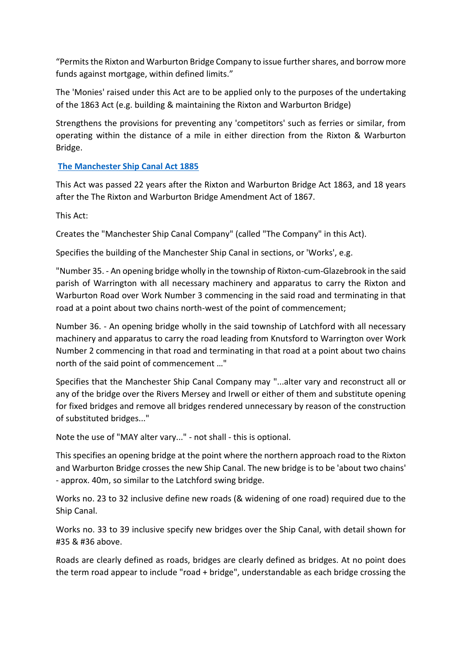"Permits the Rixton and Warburton Bridge Company to issue further shares, and borrow more funds against mortgage, within defined limits."

The 'Monies' raised under this Act are to be applied only to the purposes of the undertaking of the 1863 Act (e.g. building & maintaining the Rixton and Warburton Bridge)

Strengthens the provisions for preventing any 'competitors' such as ferries or similar, from operating within the distance of a mile in either direction from the Rixton & Warburton Bridge.

# **[The Manchester Ship Canal Act 1885](https://find-and-update.company-information.service.gov.uk/company/07438096/filing-history/MzMyNTU0OTIxOWFkaXF6a2N4/document?format=pdf&download=0)**

This Act was passed 22 years after the Rixton and Warburton Bridge Act 1863, and 18 years after the The Rixton and Warburton Bridge Amendment Act of 1867.

This Act:

Creates the "Manchester Ship Canal Company" (called "The Company" in this Act).

Specifies the building of the Manchester Ship Canal in sections, or 'Works', e.g.

"Number 35. - An opening bridge wholly in the township of Rixton-cum-Glazebrook in the said parish of Warrington with all necessary machinery and apparatus to carry the Rixton and Warburton Road over Work Number 3 commencing in the said road and terminating in that road at a point about two chains north-west of the point of commencement;

Number 36. - An opening bridge wholly in the said township of Latchford with all necessary machinery and apparatus to carry the road leading from Knutsford to Warrington over Work Number 2 commencing in that road and terminating in that road at a point about two chains north of the said point of commencement …"

Specifies that the Manchester Ship Canal Company may "...alter vary and reconstruct all or any of the bridge over the Rivers Mersey and Irwell or either of them and substitute opening for fixed bridges and remove all bridges rendered unnecessary by reason of the construction of substituted bridges..."

Note the use of "MAY alter vary..." - not shall - this is optional.

This specifies an opening bridge at the point where the northern approach road to the Rixton and Warburton Bridge crosses the new Ship Canal. The new bridge is to be 'about two chains' - approx. 40m, so similar to the Latchford swing bridge.

Works no. 23 to 32 inclusive define new roads (& widening of one road) required due to the Ship Canal.

Works no. 33 to 39 inclusive specify new bridges over the Ship Canal, with detail shown for #35 & #36 above.

Roads are clearly defined as roads, bridges are clearly defined as bridges. At no point does the term road appear to include "road + bridge", understandable as each bridge crossing the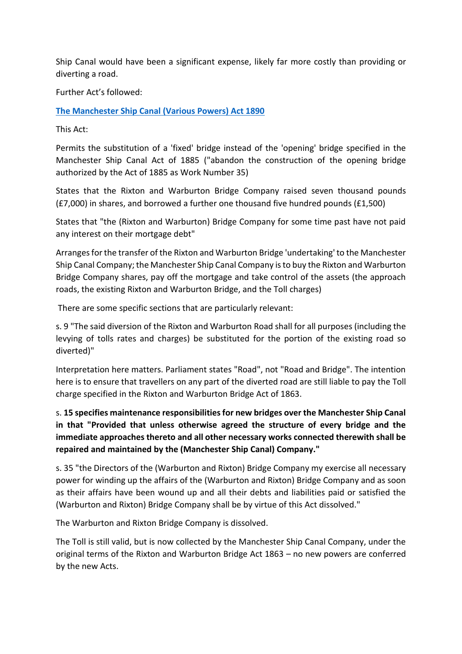Ship Canal would have been a significant expense, likely far more costly than providing or diverting a road.

Further Act's followed:

**[The Manchester Ship Canal \(Various Powers\) Act 1890](https://s3.eu-west-2.amazonaws.com/document-api-images-live.ch.gov.uk/docs/96k6o2DcjXtsPK0NtfAcAAU-UtkQrE_mRxqBMU4ifwk/application-pdf?X-Amz-Algorithm=AWS4-HMAC-SHA256&X-Amz-Credential=ASIAWRGBDBV3GVSJWT5K%2F20220110%2Feu-west-2%2Fs3%2Faws4_request&X-Amz-Date=20220110T210803Z&X-Amz-Expires=60&X-Amz-Security-Token=IQoJb3JpZ2luX2VjEAMaCWV1LXdlc3QtMiJGMEQCIGfjQMaSxYfMXbnyWpzoeXiW16I7BnIniy7PZx596S4FAiA5lf%2Fehoi%2BaEAUdIje4ZjRYFex3wS%2BCbMB7Vt%2FKr2WXCr6AwgcEAQaDDQ0OTIyOTAzMjgyMiIMvUgsFsZIYwvlgV9SKtcDdi59PWK3AnOiATbwjZvZO91xSsd77GvRBuuhRj%2F%2FNSf8QqK2N6ukUg4fQnYw5RKvFCD8fzzfZPN1birwRV3dLdcSJt7TYrJ%2Fx6iVHjnoF8F%2BmUJk5VSDmHwMEN7cHmPh6B3QsaGUm6V0svEedhJiS4zWei0sRgmW3wHkL9COC%2BAwc9qRvOQsiRc5s5nS6grx5G%2BZc0yJF7idf9XGiMkAQ2KMTr34dYj6rqMRfluZWGUl4Jk4hgTkft7SimvzmABKUASVOuF%2Bh7%2Fr0O230RCLBhSGZt03qGRgl9%2FGiIhJ7KrMGY7%2FWsw%2F%2B7iDvLb0MWTe0RDeGSuE66QOsDv%2FUGhyO5doSV0GcSHGjSd2pKN33%2BZZ%2BljmIBHAJDPJHf9kath%2F3G04BJgJO82O9WmbF5hifns9Q6K9Ue0IOx9A35j0q8XGDtbhJ8%2BinEWj9c9f9ZWWTPFT3ZiLwfE7kdaLpyL4T0CcxydKsz8gbMIU7f7QUNIikdoIPv4If5k%2F65iZZP7ETfGjzKcVchd9HYaI%2BBvbMjagtK2aN0mahkPeDlnovTqIeY4NCHBOUqIw%2BhgobvJFxAzHg9WOu%2B0rV1xgzLvrjxef5LOlaxYQcReRECG0lUnD6kMshaCSMNGJ8o4GOqYBf1aPSZeU8NkrTzMX%2FSaXNfdHU3egoxikxE%2Fk17gUWoFlRtDSXEa8wYjWKqTHS6lrmLiEnk%2BKpypehjn5I4i6yNulUee%2BkyOGED9EBl8kv0vA7LlOPSXfnay9FTrYuqBkMXNic761DyBykzVTb38oB9ZM8k26W9vVimQqTriDWbzNeJzDifn4clnNWaP3le4MRU%2FjjMSItZoX6cyIyAvmYwNXsC%2BLHw%3D%3D&X-Amz-SignedHeaders=host&response-content-disposition=inline%3Bfilename%3D%22companies_house_document.pdf%22&X-Amz-Signature=e86e7e38d4acabe55574c612673e4c1460cf4516d49e7405f68427c72083d13c)**

This Act:

Permits the substitution of a 'fixed' bridge instead of the 'opening' bridge specified in the Manchester Ship Canal Act of 1885 ("abandon the construction of the opening bridge authorized by the Act of 1885 as Work Number 35)

States that the Rixton and Warburton Bridge Company raised seven thousand pounds (£7,000) in shares, and borrowed a further one thousand five hundred pounds (£1,500)

States that "the (Rixton and Warburton) Bridge Company for some time past have not paid any interest on their mortgage debt"

Arranges for the transfer of the Rixton and Warburton Bridge 'undertaking' to the Manchester Ship Canal Company; the Manchester Ship Canal Company is to buy the Rixton and Warburton Bridge Company shares, pay off the mortgage and take control of the assets (the approach roads, the existing Rixton and Warburton Bridge, and the Toll charges)

There are some specific sections that are particularly relevant:

s. 9 "The said diversion of the Rixton and Warburton Road shall for all purposes (including the levying of tolls rates and charges) be substituted for the portion of the existing road so diverted)"

Interpretation here matters. Parliament states "Road", not "Road and Bridge". The intention here is to ensure that travellers on any part of the diverted road are still liable to pay the Toll charge specified in the Rixton and Warburton Bridge Act of 1863.

s. **15 specifies maintenance responsibilities for new bridges over the Manchester Ship Canal in that "Provided that unless otherwise agreed the structure of every bridge and the immediate approaches thereto and all other necessary works connected therewith shall be repaired and maintained by the (Manchester Ship Canal) Company."**

s. 35 "the Directors of the (Warburton and Rixton) Bridge Company my exercise all necessary power for winding up the affairs of the (Warburton and Rixton) Bridge Company and as soon as their affairs have been wound up and all their debts and liabilities paid or satisfied the (Warburton and Rixton) Bridge Company shall be by virtue of this Act dissolved."

The Warburton and Rixton Bridge Company is dissolved.

The Toll is still valid, but is now collected by the Manchester Ship Canal Company, under the original terms of the Rixton and Warburton Bridge Act 1863 – no new powers are conferred by the new Acts.